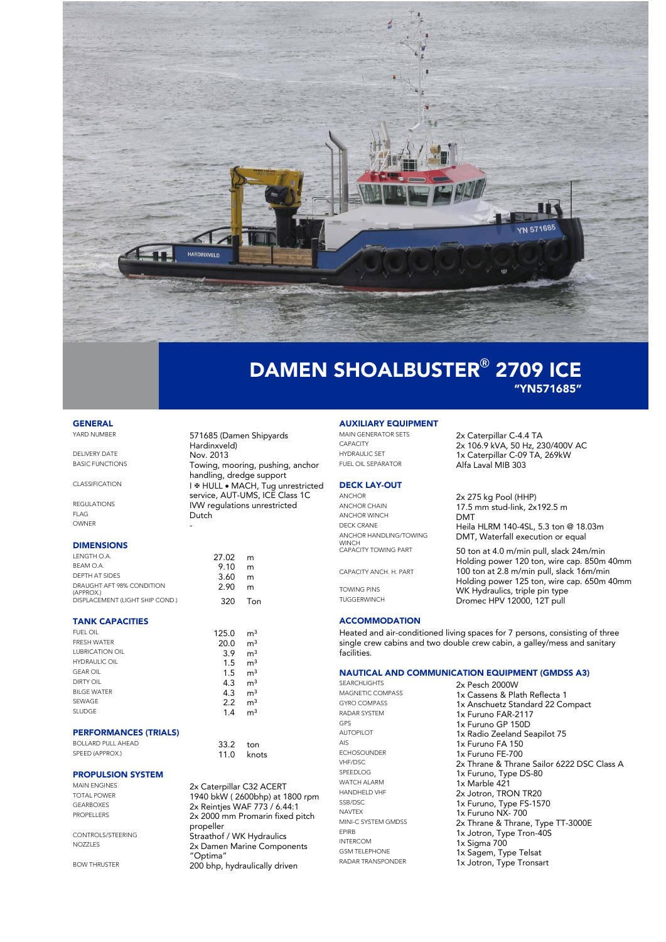

### DAMEN SHOALBUSTER**®** 2709 ICE "YN571685"

# **GENERAL**<br>YARD NUMBER

Hardinxveld) DELIVERY DATE Nov. 2013<br>BASIC FUNCTIONS Towing m Towing, mooring, pushing, anchor handling, dredge support CLASSIFICATION **I & HULL • MACH, Tug unrestricted** service, AUT-UMS, ICE Class 1C REGULATIONS **IVW regulations unrestricted** FLAG Dutch OWNER -

#### DIMENSIONS

| LENGTH O.A.                            | $27.02 \, m$ |     |
|----------------------------------------|--------------|-----|
| BEAM O.A.                              | 9.10         | m   |
| DEPTH AT SIDES                         | 3.60         | m   |
| DRAUGHT AFT 98% CONDITION<br>(APPROX.) | 2.90         | m   |
| DISPLACEMENT (LIGHT SHIP COND.)        | 320          | Ton |

#### TANK CAPACITIES

| <b>FUEL OIL</b>        | 125.0 | m <sup>3</sup> |
|------------------------|-------|----------------|
| <b>FRESH WATER</b>     | 20.0  | m <sup>3</sup> |
| <b>LUBRICATION OIL</b> | 3.9   | m <sup>3</sup> |
| <b>HYDRAULIC OIL</b>   | 1.5   | m <sup>3</sup> |
| <b>GEAR OIL</b>        | 1.5   | m <sup>3</sup> |
| DIRTY OIL              | 4.3   | m <sup>3</sup> |
| <b>BILGE WATER</b>     | 4.3   | m <sup>3</sup> |
| SEWAGE                 | 2.2   | m <sup>3</sup> |
| <b>SLUDGE</b>          | 1.4   | m <sup>3</sup> |
|                        |       |                |

### PERFORMANCES (TRIALS)

| BOLLARD PULL AHEAD | $33.2$ ton |            |
|--------------------|------------|------------|
| SPEED (APPROX.)    |            | 11.0 knots |

### **PROPULSION SYSTEM**<br>MAIN ENGINES

MAIN ENGINES<br>
TOTAL POWER
1940 b LW (2600bbn) at 1 TOTAL POWER<br>GEARROXES 2X Bointing MAE 772 / 4 44:1 GEARBOXES 2x Reintjes WAF 773 / 6.44:1

CONTROLS/STEERING<br>
Straathof / WK Hydraulics<br>
2x Damen Marine Compo

BOW THRUSTER **200 bhp, hydraulically driven** 

571685 (Damen Shipyards

2x 2000 mm Promarin fixed pitch

2x Damen Marine Components

propeller

"Optima"

# **AUXILIARY EQUIPMENT**<br>MAIN GENERATOR SETS

### **DECK LAY-OUT**

ANCHOR WINCH<br>DECK CRANE Heila ANCHOR HANDLING/TOWING WINCH CAPACITY TOWING PART

CAPACITY ANCH. H. PART

#### **ACCOMMODATION**

Heated and air-conditioned living spaces for 7 persons, consisting of three single crew cabins and two double crew cabin, a galley/mess and sanitary facilities.

#### NAUTICAL AND COMMUNICATION EQUIPMENT (GMDSS A3)

SEARCHLIGHTS 2x Pesch 2000W<br>MAGNETIC COMPASS 1x Cossens 8: PL MAGNETIC COMPASS 1x Cassens & Plath Reflecta 1<br>1x Apschuotz Standard 22 Co GYRO COMPASS 1x Anschuetz Standard 22 Compact<br>
1x Eurino EAR-2117 RADAR SYSTEM 1x Furuno FAR-2117<br>GPS 1x Furuno GR 150D GPS 1x Furuno GP 150D AUTOPILOT 1x Radio Zeeland Seapilot 75 AIS<br>
FCHOSOLINDER
14 L. FURUNO FA 150 ECHOSOUNDER 1x Furuno FE-700<br>VHE/DSC 2x Thrano & Thran VHF/DSC 2x Thrane & Thrane Sailor 6222 DSC Class A<br>
2x Furuno Type DS-80 SPEEDLOG<br>
WATCH ALARM
1x Marble 421 WATCH ALARM 1x Marble 421<br>
HANDHELD VHF 1X 10 2x Jotron TRC HANDHELD VHF 2x Jotron, TRON TR20<br>
SSB/DSC 25 2x Jotron, TVDG ES SSB/DSC 1x Furuno, Type FS-1570<br>
NAVTEX 1y Furuno NIX 700 NAVTEX 1x Furuno NX-700<br>MINI-C SYSTEM GMDSS 2x Thrane & Thrane MINI-C SYSTEM GMDSS 2x Thrane & Thrane, Type TT-3000E EPIRB 1x Jotron, Type Tron-40S<br>
1x Sigma 700 INTERCOM 1x Sigma 700<br>
GSM TELEPHONE 1x Sagem Tv GSM TELEPHONE 1x Sagem, Type Telsat<br>RADAR TRANSPONDER 1x Jotton, Type Trops 1x Jotron, Type Tronsart

MAIN GENERATOR SETS<br>
2x Caterpillar C-4.4 TA<br>
2x 106 9 kVA 50 Hz 23 CAPACITY 2x 106.9 kVA, 50 Hz, 230/400V AC<br>
HYDRAULIC SET 1. 240 kWA, 50 HZ, 240 kW HYDRAULIC SET 1x Caterpillar C-09 TA, 269kW Alfa Laval MIB 303

ANCHOR<br>ANCHOR CHAIN<br>
17.5 mm stud-link 2x 17.5 mm stud-link, 2x192.5 m Heila HLRM 140-4SL, 5.3 ton @ 18.03m DMT, Waterfall execution or equal

50 ton at 4.0 m/min pull, slack 24m/min Holding power 120 ton, wire cap. 850m 40mm 100 ton at 2.8 m/min pull, slack 16m/min Holding power 125 ton, wire cap. 650m 40mm TOWING PINS **WK Hydraulics, triple pin type**<br>TUGGERWINCH **CHARGE PROPOSE HPV 12000 12T pull** Dromec HPV 12000, 12T pull